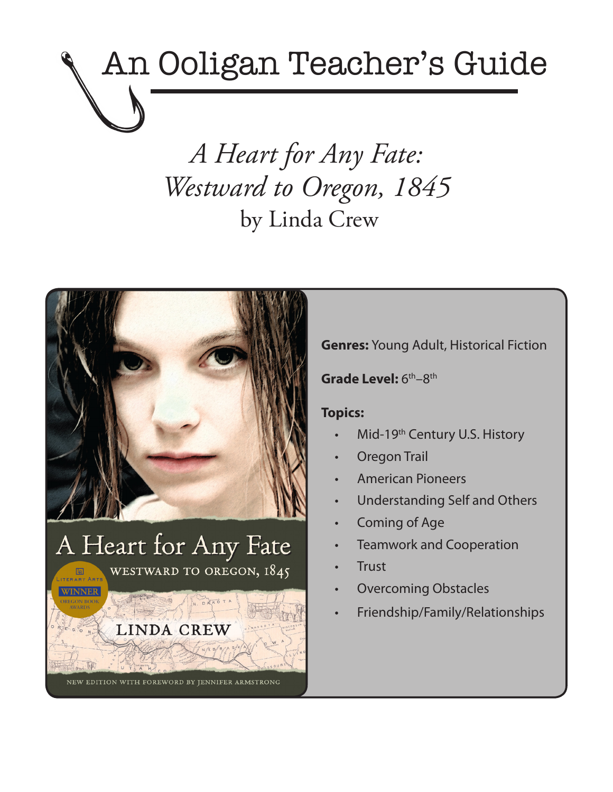# An Ooligan Teacher's Guide

*A Heart for Any Fate: Westward to Oregon, 1845* by Linda Crew



**Genres:** Young Adult, Historical Fiction

Grade Level: 6<sup>th</sup>–8<sup>th</sup>

### **Topics:**

- Mid-19<sup>th</sup> Century U.S. History
- **Oregon Trail**
- **American Pioneers**
- Understanding Self and Others
- Coming of Age
- **Teamwork and Cooperation**
- **Trust**
- **Overcoming Obstacles**
- Friendship/Family/Relationships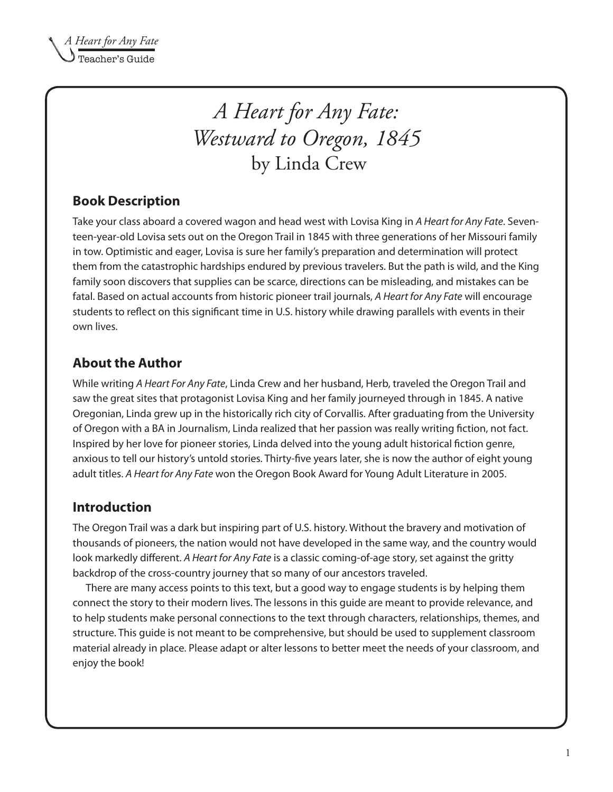## *A Heart for Any Fate: Westward to Oregon, 1845* by Linda Crew

## **Book Description**

Take your class aboard a covered wagon and head west with Lovisa King in *A Heart for Any Fate*. Seventeen-year-old Lovisa sets out on the Oregon Trail in 1845 with three generations of her Missouri family in tow. Optimistic and eager, Lovisa is sure her family's preparation and determination will protect them from the catastrophic hardships endured by previous travelers. But the path is wild, and the King family soon discovers that supplies can be scarce, directions can be misleading, and mistakes can be fatal. Based on actual accounts from historic pioneer trail journals, *A Heart for Any Fate* will encourage students to reflect on this significant time in U.S. history while drawing parallels with events in their own lives.

## **About the Author**

While writing *A Heart For Any Fate*, Linda Crew and her husband, Herb, traveled the Oregon Trail and saw the great sites that protagonist Lovisa King and her family journeyed through in 1845. A native Oregonian, Linda grew up in the historically rich city of Corvallis. After graduating from the University of Oregon with a BA in Journalism, Linda realized that her passion was really writing fiction, not fact. Inspired by her love for pioneer stories, Linda delved into the young adult historical fiction genre, anxious to tell our history's untold stories. Thirty-five years later, she is now the author of eight young adult titles. *A Heart for Any Fate* won the Oregon Book Award for Young Adult Literature in 2005.

## **Introduction**

The Oregon Trail was a dark but inspiring part of U.S. history. Without the bravery and motivation of thousands of pioneers, the nation would not have developed in the same way, and the country would look markedly different. *A Heart for Any Fate* is a classic coming-of-age story, set against the gritty backdrop of the cross-country journey that so many of our ancestors traveled.

There are many access points to this text, but a good way to engage students is by helping them connect the story to their modern lives. The lessons in this guide are meant to provide relevance, and to help students make personal connections to the text through characters, relationships, themes, and structure. This guide is not meant to be comprehensive, but should be used to supplement classroom material already in place. Please adapt or alter lessons to better meet the needs of your classroom, and enjoy the book!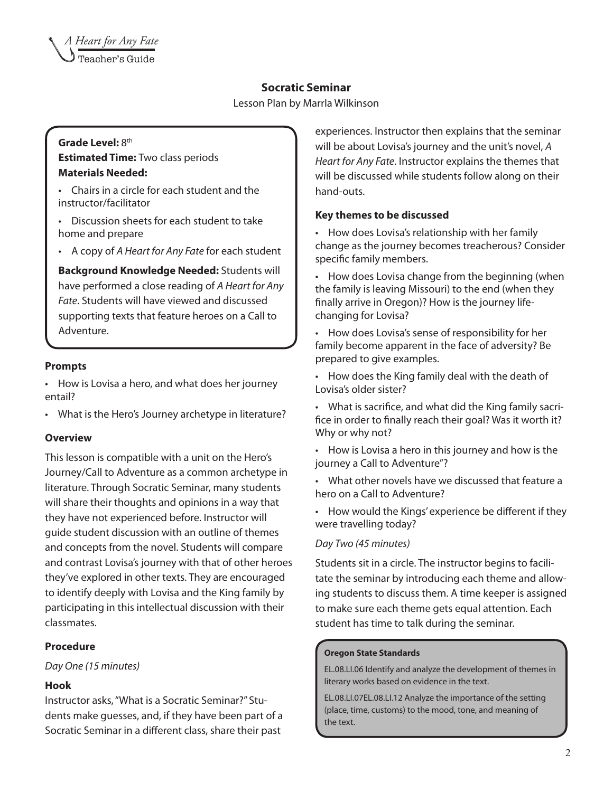#### **Socratic Seminar**

Lesson Plan by Marrla Wilkinson

#### Grade Level: 8<sup>th</sup> **Estimated Time:** Two class periods **Materials Needed:**

- • Chairs in a circle for each student and the instructor/facilitator
- Discussion sheets for each student to take home and prepare
- • A copy of *A Heart for Any Fate* for each student

**Background Knowledge Needed:** Students will have performed a close reading of *A Heart for Any Fate*. Students will have viewed and discussed supporting texts that feature heroes on a Call to Adventure.

#### **Prompts**

• How is Lovisa a hero, and what does her journey entail?

• What is the Hero's Journey archetype in literature?

#### **Overview**

This lesson is compatible with a unit on the Hero's Journey/Call to Adventure as a common archetype in literature. Through Socratic Seminar, many students will share their thoughts and opinions in a way that they have not experienced before. Instructor will guide student discussion with an outline of themes and concepts from the novel. Students will compare and contrast Lovisa's journey with that of other heroes they've explored in other texts. They are encouraged to identify deeply with Lovisa and the King family by participating in this intellectual discussion with their classmates.

#### **Procedure**

*Day One (15 minutes)*

#### **Hook**

Instructor asks, "What is a Socratic Seminar?" Students make guesses, and, if they have been part of a Socratic Seminar in a different class, share their past

experiences. Instructor then explains that the seminar will be about Lovisa's journey and the unit's novel, *A Heart for Any Fate*. Instructor explains the themes that will be discussed while students follow along on their hand-outs.

#### **Key themes to be discussed**

• How does Lovisa's relationship with her family change as the journey becomes treacherous? Consider specific family members.

• How does Lovisa change from the beginning (when the family is leaving Missouri) to the end (when they finally arrive in Oregon)? How is the journey lifechanging for Lovisa?

• How does Lovisa's sense of responsibility for her family become apparent in the face of adversity? Be prepared to give examples.

• How does the King family deal with the death of Lovisa's older sister?

• What is sacrifice, and what did the King family sacrifice in order to finally reach their goal? Was it worth it? Why or why not?

• How is Lovisa a hero in this journey and how is the journey a Call to Adventure"?

• What other novels have we discussed that feature a hero on a Call to Adventure?

• How would the Kings' experience be different if they were travelling today?

#### *Day Two (45 minutes)*

Students sit in a circle. The instructor begins to facilitate the seminar by introducing each theme and allowing students to discuss them. A time keeper is assigned to make sure each theme gets equal attention. Each student has time to talk during the seminar.

#### **Oregon State Standards**

EL.08.LI.06 Identify and analyze the development of themes in literary works based on evidence in the text.

EL.08.LI.07EL.08.LI.12 Analyze the importance of the setting (place, time, customs) to the mood, tone, and meaning of the text.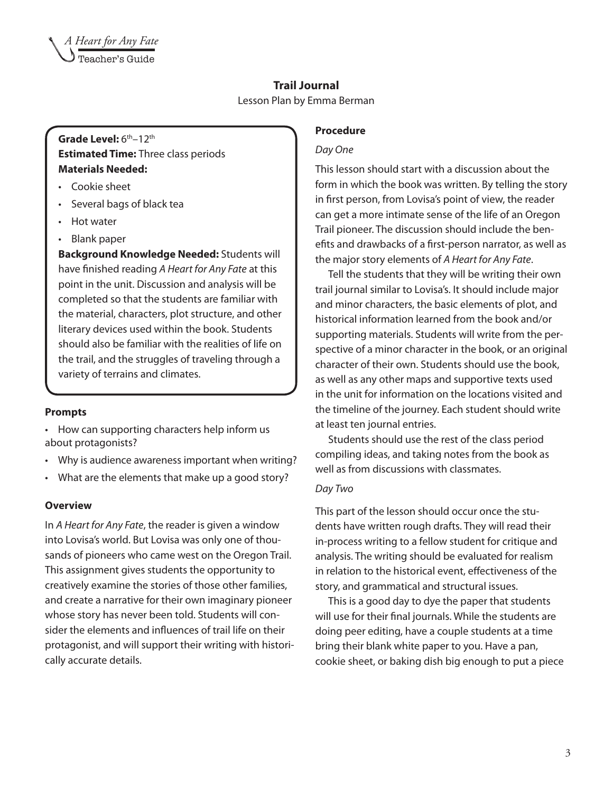#### **Trail Journal**

Lesson Plan by Emma Berman

#### Grade Level:  $6<sup>th</sup>-12<sup>th</sup>$ **Estimated Time:** Three class periods **Materials Needed:**

- Cookie sheet
- • Several bags of black tea
- • Hot water
- • Blank paper

**Background Knowledge Needed:** Students will have finished reading *A Heart for Any Fate* at this point in the unit. Discussion and analysis will be completed so that the students are familiar with the material, characters, plot structure, and other literary devices used within the book. Students should also be familiar with the realities of life on the trail, and the struggles of traveling through a variety of terrains and climates.

#### **Prompts**

• How can supporting characters help inform us about protagonists?

- Why is audience awareness important when writing?
- What are the elements that make up a good story?

#### **Overview**

In *A Heart for Any Fate*, the reader is given a window into Lovisa's world. But Lovisa was only one of thousands of pioneers who came west on the Oregon Trail. This assignment gives students the opportunity to creatively examine the stories of those other families, and create a narrative for their own imaginary pioneer whose story has never been told. Students will consider the elements and influences of trail life on their protagonist, and will support their writing with historically accurate details.

#### **Procedure**

#### *Day One*

This lesson should start with a discussion about the form in which the book was written. By telling the story in first person, from Lovisa's point of view, the reader can get a more intimate sense of the life of an Oregon Trail pioneer. The discussion should include the benefits and drawbacks of a first-person narrator, as well as the major story elements of *A Heart for Any Fate*.

Tell the students that they will be writing their own trail journal similar to Lovisa's. It should include major and minor characters, the basic elements of plot, and historical information learned from the book and/or supporting materials. Students will write from the perspective of a minor character in the book, or an original character of their own. Students should use the book, as well as any other maps and supportive texts used in the unit for information on the locations visited and the timeline of the journey. Each student should write at least ten journal entries.

Students should use the rest of the class period compiling ideas, and taking notes from the book as well as from discussions with classmates.

#### *Day Two*

This part of the lesson should occur once the students have written rough drafts. They will read their in-process writing to a fellow student for critique and analysis. The writing should be evaluated for realism in relation to the historical event, effectiveness of the story, and grammatical and structural issues.

This is a good day to dye the paper that students will use for their final journals. While the students are doing peer editing, have a couple students at a time bring their blank white paper to you. Have a pan, cookie sheet, or baking dish big enough to put a piece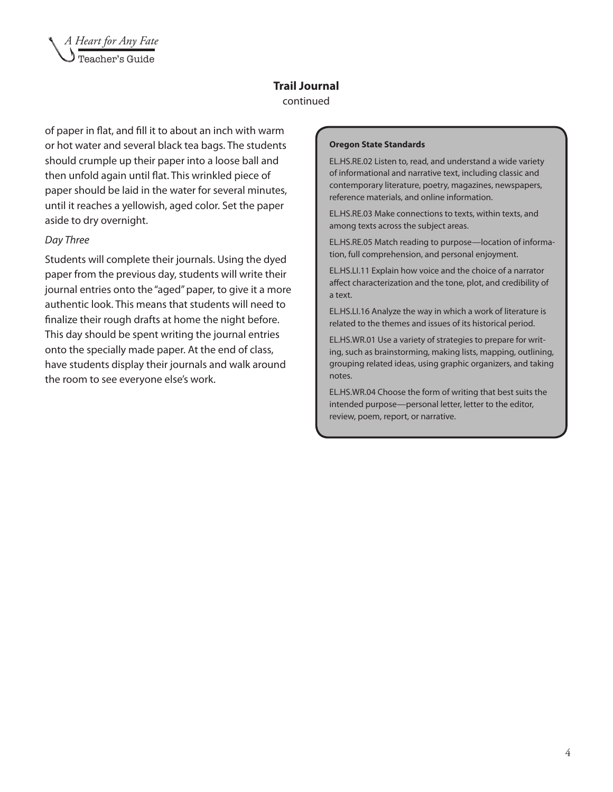

#### **Trail Journal** continued

of paper in flat, and fill it to about an inch with warm or hot water and several black tea bags. The students should crumple up their paper into a loose ball and then unfold again until flat. This wrinkled piece of paper should be laid in the water for several minutes, until it reaches a yellowish, aged color. Set the paper aside to dry overnight.

#### *Day Three*

Students will complete their journals. Using the dyed paper from the previous day, students will write their journal entries onto the "aged" paper, to give it a more authentic look. This means that students will need to finalize their rough drafts at home the night before. This day should be spent writing the journal entries onto the specially made paper. At the end of class, have students display their journals and walk around the room to see everyone else's work.

#### **Oregon State Standards**

EL.HS.RE.02 Listen to, read, and understand a wide variety of informational and narrative text, including classic and contemporary literature, poetry, magazines, newspapers, reference materials, and online information.

EL.HS.RE.03 Make connections to texts, within texts, and among texts across the subject areas.

EL.HS.RE.05 Match reading to purpose—location of information, full comprehension, and personal enjoyment.

EL.HS.LI.11 Explain how voice and the choice of a narrator affect characterization and the tone, plot, and credibility of a text.

EL.HS.LI.16 Analyze the way in which a work of literature is related to the themes and issues of its historical period.

EL.HS.WR.01 Use a variety of strategies to prepare for writing, such as brainstorming, making lists, mapping, outlining, grouping related ideas, using graphic organizers, and taking notes.

EL.HS.WR.04 Choose the form of writing that best suits the intended purpose—personal letter, letter to the editor, review, poem, report, or narrative.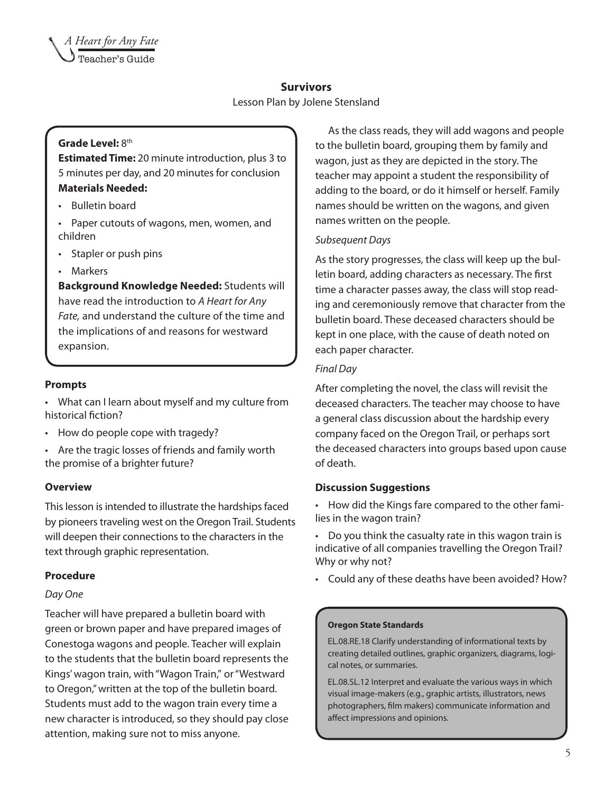#### **Survivors**

Lesson Plan by Jolene Stensland

#### Grade Level: 8<sup>th</sup>

**Estimated Time:** 20 minute introduction, plus 3 to 5 minutes per day, and 20 minutes for conclusion **Materials Needed:** 

- • Bulletin board
- • Paper cutouts of wagons, men, women, and children
- Stapler or push pins
- **Markers**

**Background Knowledge Needed:** Students will have read the introduction to *A Heart for Any Fate,* and understand the culture of the time and the implications of and reasons for westward expansion.

#### **Prompts**

• What can I learn about myself and my culture from historical fiction?

- How do people cope with tragedy?
- • Are the tragic losses of friends and family worth the promise of a brighter future?

#### **Overview**

This lesson is intended to illustrate the hardships faced by pioneers traveling west on the Oregon Trail. Students will deepen their connections to the characters in the text through graphic representation.

#### **Procedure**

#### *Day One*

Teacher will have prepared a bulletin board with green or brown paper and have prepared images of Conestoga wagons and people. Teacher will explain to the students that the bulletin board represents the Kings' wagon train, with "Wagon Train," or "Westward to Oregon," written at the top of the bulletin board. Students must add to the wagon train every time a new character is introduced, so they should pay close attention, making sure not to miss anyone.

As the class reads, they will add wagons and people to the bulletin board, grouping them by family and wagon, just as they are depicted in the story. The teacher may appoint a student the responsibility of adding to the board, or do it himself or herself. Family names should be written on the wagons, and given names written on the people.

#### *Subsequent Days*

As the story progresses, the class will keep up the bulletin board, adding characters as necessary. The first time a character passes away, the class will stop reading and ceremoniously remove that character from the bulletin board. These deceased characters should be kept in one place, with the cause of death noted on each paper character.

#### *Final Day*

After completing the novel, the class will revisit the deceased characters. The teacher may choose to have a general class discussion about the hardship every company faced on the Oregon Trail, or perhaps sort the deceased characters into groups based upon cause of death.

#### **Discussion Suggestions**

• How did the Kings fare compared to the other families in the wagon train?

• Do you think the casualty rate in this wagon train is indicative of all companies travelling the Oregon Trail? Why or why not?

• Could any of these deaths have been avoided? How?

#### **Oregon State Standards**

EL.08.RE.18 Clarify understanding of informational texts by creating detailed outlines, graphic organizers, diagrams, logical notes, or summaries.

EL.08.SL.12 Interpret and evaluate the various ways in which visual image-makers (e.g., graphic artists, illustrators, news photographers, film makers) communicate information and affect impressions and opinions.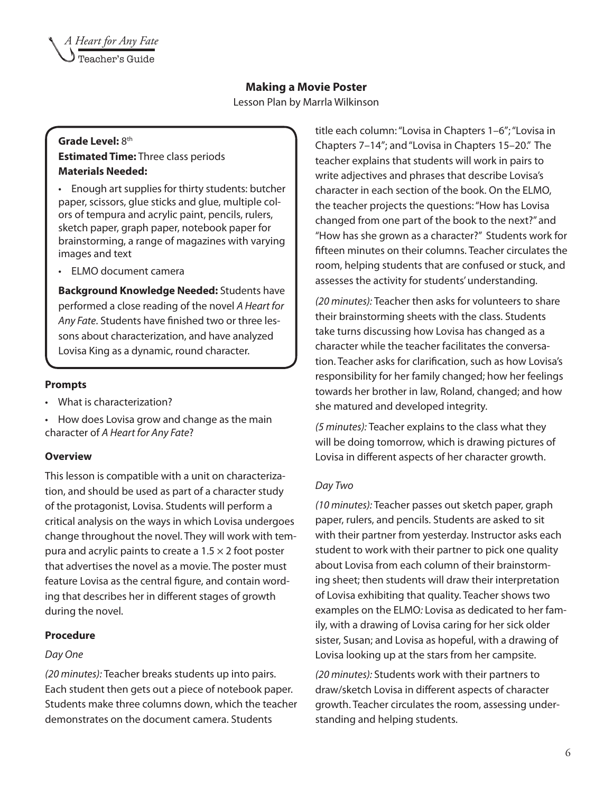#### **Making a Movie Poster**

Lesson Plan by Marrla Wilkinson

#### Grade Level: 8<sup>th</sup> **Estimated Time:** Three class periods **Materials Needed:**

- • Enough art supplies for thirty students: butcher paper, scissors, glue sticks and glue, multiple colors of tempura and acrylic paint, pencils, rulers, sketch paper, graph paper, notebook paper for brainstorming, a range of magazines with varying images and text
- • ELMO document camera

**Background Knowledge Needed:** Students have performed a close reading of the novel *A Heart for Any Fate*. Students have finished two or three lessons about characterization, and have analyzed Lovisa King as a dynamic, round character.

#### **Prompts**

- What is characterization?
- How does Lovisa grow and change as the main character of *A Heart for Any Fate*?

#### **Overview**

This lesson is compatible with a unit on characterization, and should be used as part of a character study of the protagonist, Lovisa. Students will perform a critical analysis on the ways in which Lovisa undergoes change throughout the novel. They will work with tempura and acrylic paints to create a  $1.5 \times 2$  foot poster that advertises the novel as a movie. The poster must feature Lovisa as the central figure, and contain wording that describes her in different stages of growth during the novel.

#### **Procedure**

#### *Day One*

*(20 minutes):* Teacher breaks students up into pairs. Each student then gets out a piece of notebook paper. Students make three columns down, which the teacher demonstrates on the document camera. Students

title each column: "Lovisa in Chapters 1–6"; "Lovisa in Chapters 7–14"; and "Lovisa in Chapters 15–20." The teacher explains that students will work in pairs to write adjectives and phrases that describe Lovisa's character in each section of the book. On the ELMO, the teacher projects the questions: "How has Lovisa changed from one part of the book to the next?" and "How has she grown as a character?" Students work for fifteen minutes on their columns. Teacher circulates the room, helping students that are confused or stuck, and assesses the activity for students' understanding.

*(20 minutes):* Teacher then asks for volunteers to share their brainstorming sheets with the class. Students take turns discussing how Lovisa has changed as a character while the teacher facilitates the conversation. Teacher asks for clarification, such as how Lovisa's responsibility for her family changed; how her feelings towards her brother in law, Roland, changed; and how she matured and developed integrity.

*(5 minutes):* Teacher explains to the class what they will be doing tomorrow, which is drawing pictures of Lovisa in different aspects of her character growth.

#### *Day Two*

*(10 minutes):* Teacher passes out sketch paper, graph paper, rulers, and pencils. Students are asked to sit with their partner from yesterday. Instructor asks each student to work with their partner to pick one quality about Lovisa from each column of their brainstorming sheet; then students will draw their interpretation of Lovisa exhibiting that quality. Teacher shows two examples on the ELMO*:* Lovisa as dedicated to her family, with a drawing of Lovisa caring for her sick older sister, Susan; and Lovisa as hopeful, with a drawing of Lovisa looking up at the stars from her campsite.

*(20 minutes):* Students work with their partners to draw/sketch Lovisa in different aspects of character growth. Teacher circulates the room, assessing understanding and helping students.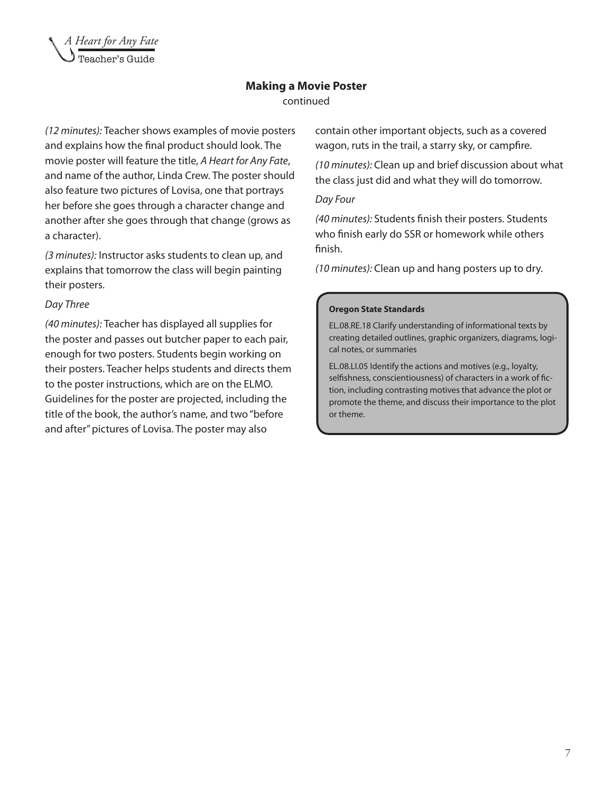![](_page_7_Picture_0.jpeg)

## **Making a Movie Poster**

continued

*(12 minutes):* Teacher shows examples of movie posters and explains how the final product should look. The movie poster will feature the title, *A Heart for Any Fate*, and name of the author, Linda Crew. The poster should also feature two pictures of Lovisa, one that portrays her before she goes through a character change and another after she goes through that change (grows as a character).

*(3 minutes):* Instructor asks students to clean up, and explains that tomorrow the class will begin painting their posters.

#### *Day Three*

*(40 minutes):* Teacher has displayed all supplies for the poster and passes out butcher paper to each pair, enough for two posters. Students begin working on their posters. Teacher helps students and directs them to the poster instructions, which are on the ELMO. Guidelines for the poster are projected, including the title of the book, the author's name, and two "before and after" pictures of Lovisa. The poster may also

contain other important objects, such as a covered wagon, ruts in the trail, a starry sky, or campfire.

*(10 minutes):* Clean up and brief discussion about what the class just did and what they will do tomorrow.

#### *Day Four*

*(40 minutes):* Students finish their posters. Students who finish early do SSR or homework while others finish.

*(10 minutes):* Clean up and hang posters up to dry.

#### **Oregon State Standards**

EL.08.RE.18 Clarify understanding of informational texts by creating detailed outlines, graphic organizers, diagrams, logical notes, or summaries

EL.08.LI.05 Identify the actions and motives (e.g., loyalty, selfishness, conscientiousness) of characters in a work of fiction, including contrasting motives that advance the plot or promote the theme, and discuss their importance to the plot or theme.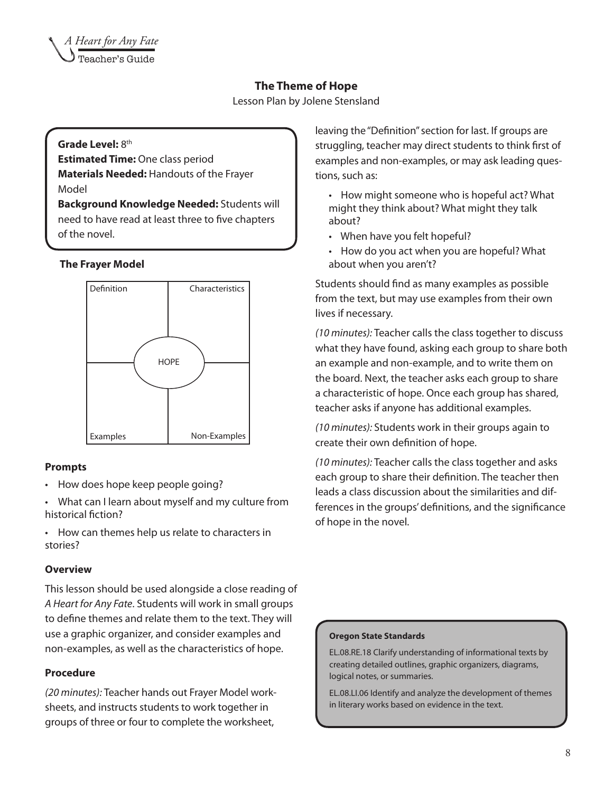#### **The Theme of Hope**

Lesson Plan by Jolene Stensland

#### Grade Level: 8<sup>th</sup>

**Estimated Time:** One class period **Materials Needed:** Handouts of the Frayer Model

**Background Knowledge Needed:** Students will need to have read at least three to five chapters of the novel.

#### **The Frayer Model**

![](_page_8_Figure_7.jpeg)

#### **Prompts**

- How does hope keep people going?
- • What can I learn about myself and my culture from historical fiction?
- • How can themes help us relate to characters in stories?

#### **Overview**

This lesson should be used alongside a close reading of *A Heart for Any Fate*. Students will work in small groups to define themes and relate them to the text. They will use a graphic organizer, and consider examples and non-examples, as well as the characteristics of hope.

#### **Procedure**

*(20 minutes):* Teacher hands out Frayer Model worksheets, and instructs students to work together in groups of three or four to complete the worksheet,

leaving the "Definition" section for last. If groups are struggling, teacher may direct students to think first of examples and non-examples, or may ask leading questions, such as:

- How might someone who is hopeful act? What might they think about? What might they talk about?
- When have you felt hopeful?
- How do you act when you are hopeful? What about when you aren't?

Students should find as many examples as possible from the text, but may use examples from their own lives if necessary.

*(10 minutes):* Teacher calls the class together to discuss what they have found, asking each group to share both an example and non-example, and to write them on the board. Next, the teacher asks each group to share a characteristic of hope. Once each group has shared, teacher asks if anyone has additional examples.

*(10 minutes):* Students work in their groups again to create their own definition of hope.

*(10 minutes):* Teacher calls the class together and asks each group to share their definition. The teacher then leads a class discussion about the similarities and differences in the groups' definitions, and the significance of hope in the novel.

#### **Oregon State Standards**

EL.08.RE.18 Clarify understanding of informational texts by creating detailed outlines, graphic organizers, diagrams, logical notes, or summaries.

EL.08.LI.06 Identify and analyze the development of themes in literary works based on evidence in the text.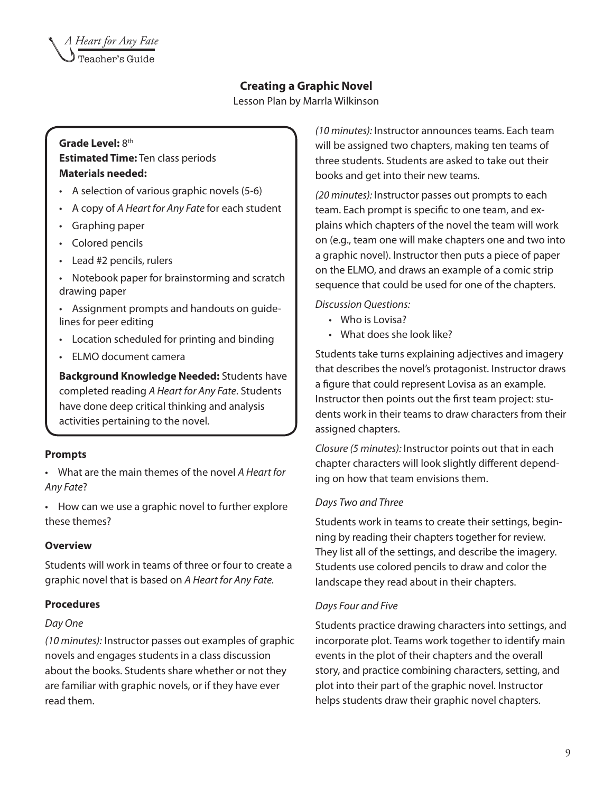#### **Creating a Graphic Novel**

Lesson Plan by Marrla Wilkinson

#### Grade Level: 8<sup>th</sup> **Estimated Time:** Ten class periods **Materials needed:**

- • A selection of various graphic novels (5-6)
- • A copy of *A Heart for Any Fate* for each student
- • Graphing paper
- Colored pencils
- • Lead #2 pencils, rulers
- Notebook paper for brainstorming and scratch drawing paper

• Assignment prompts and handouts on guidelines for peer editing

- • Location scheduled for printing and binding
- **ELMO** document camera

**Background Knowledge Needed:** Students have completed reading *A Heart for Any Fate*. Students have done deep critical thinking and analysis activities pertaining to the novel.

#### **Prompts**

• What are the main themes of the novel *A Heart for Any Fate*?

• How can we use a graphic novel to further explore these themes?

#### **Overview**

Students will work in teams of three or four to create a graphic novel that is based on *A Heart for Any Fate.* 

#### **Procedures**

#### *Day One*

*(10 minutes):* Instructor passes out examples of graphic novels and engages students in a class discussion about the books. Students share whether or not they are familiar with graphic novels, or if they have ever read them.

*(10 minutes):* Instructor announces teams. Each team will be assigned two chapters, making ten teams of three students. Students are asked to take out their books and get into their new teams.

*(20 minutes):* Instructor passes out prompts to each team. Each prompt is specific to one team, and explains which chapters of the novel the team will work on (e.g., team one will make chapters one and two into a graphic novel). Instructor then puts a piece of paper on the ELMO, and draws an example of a comic strip sequence that could be used for one of the chapters.

*Discussion Questions:*

- Who is Lovisa?
- What does she look like?

Students take turns explaining adjectives and imagery that describes the novel's protagonist. Instructor draws a figure that could represent Lovisa as an example. Instructor then points out the first team project: students work in their teams to draw characters from their assigned chapters.

*Closure (5 minutes):* Instructor points out that in each chapter characters will look slightly different depending on how that team envisions them.

#### *Days Two and Three*

Students work in teams to create their settings, beginning by reading their chapters together for review. They list all of the settings, and describe the imagery. Students use colored pencils to draw and color the landscape they read about in their chapters.

#### *Days Four and Five*

Students practice drawing characters into settings, and incorporate plot. Teams work together to identify main events in the plot of their chapters and the overall story, and practice combining characters, setting, and plot into their part of the graphic novel. Instructor helps students draw their graphic novel chapters.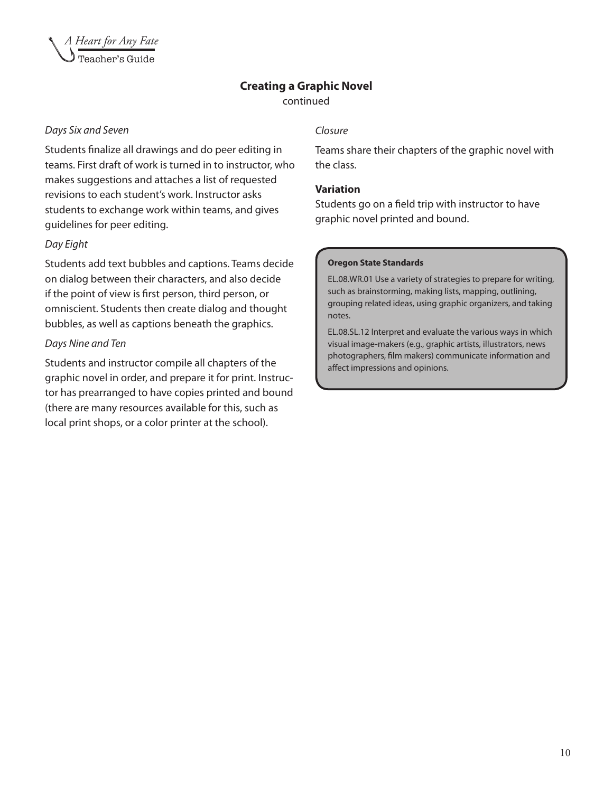![](_page_10_Picture_0.jpeg)

#### **Creating a Graphic Novel**

continued

#### *Days Six and Seven*

Students finalize all drawings and do peer editing in teams. First draft of work is turned in to instructor, who makes suggestions and attaches a list of requested revisions to each student's work. Instructor asks students to exchange work within teams, and gives guidelines for peer editing.

#### *Day Eight*

Students add text bubbles and captions. Teams decide on dialog between their characters, and also decide if the point of view is first person, third person, or omniscient. Students then create dialog and thought bubbles, as well as captions beneath the graphics.

#### *Days Nine and Ten*

Students and instructor compile all chapters of the graphic novel in order, and prepare it for print. Instructor has prearranged to have copies printed and bound (there are many resources available for this, such as local print shops, or a color printer at the school).

#### *Closure*

Teams share their chapters of the graphic novel with the class.

#### **Variation**

Students go on a field trip with instructor to have graphic novel printed and bound.

#### **Oregon State Standards**

EL.08.WR.01 Use a variety of strategies to prepare for writing, such as brainstorming, making lists, mapping, outlining, grouping related ideas, using graphic organizers, and taking notes.

EL.08.SL.12 Interpret and evaluate the various ways in which visual image-makers (e.g., graphic artists, illustrators, news photographers, film makers) communicate information and affect impressions and opinions.